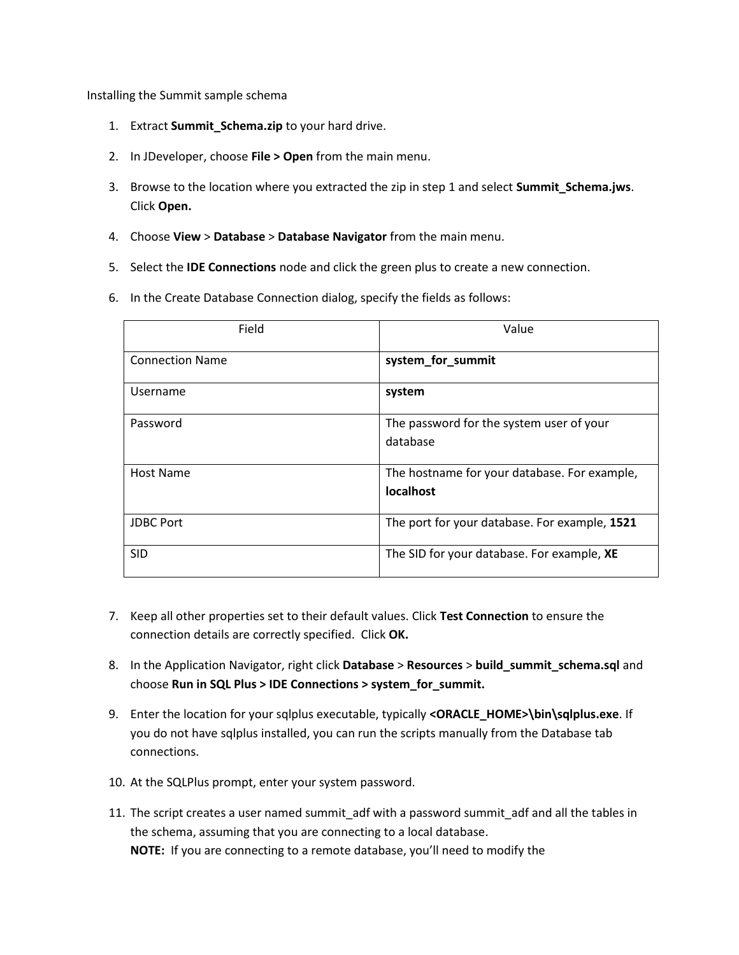Installing the Summit sample schema

- 1. Extract **Summit\_Schema.zip** to your hard drive.
- 2. In JDeveloper, choose **File > Open** from the main menu.
- 3. Browse to the location where you extracted the zip in step 1 and select **Summit\_Schema.jws**. Click **Open.**
- 4. Choose **View** > **Database** > **Database Navigator** from the main menu.
- 5. Select the **IDE Connections** node and click the green plus to create a new connection.
- 6. In the Create Database Connection dialog, specify the fields as follows:

| Field                  | Value                                                     |
|------------------------|-----------------------------------------------------------|
| <b>Connection Name</b> | system_for_summit                                         |
| Username               | system                                                    |
| Password               | The password for the system user of your<br>database      |
| Host Name              | The hostname for your database. For example,<br>localhost |
| <b>JDBC Port</b>       | The port for your database. For example, 1521             |
| <b>SID</b>             | The SID for your database. For example, XE                |

- 7. Keep all other properties set to their default values. Click **Test Connection** to ensure the connection details are correctly specified. Click **OK.**
- 8. In the Application Navigator, right click **Database** > **Resources** > **build\_summit\_schema.sql** and choose **Run in SQL Plus > IDE Connections > system\_for\_summit.**
- 9. Enter the location for your sqlplus executable, typically **<ORACLE\_HOME>\bin\sqlplus.exe**. If you do not have sqlplus installed, you can run the scripts manually from the Database tab connections.
- 10. At the SQLPlus prompt, enter your system password.
- 11. The script creates a user named summit\_adf with a password summit\_adf and all the tables in the schema, assuming that you are connecting to a local database. **NOTE:** If you are connecting to a remote database, you'll need to modify the